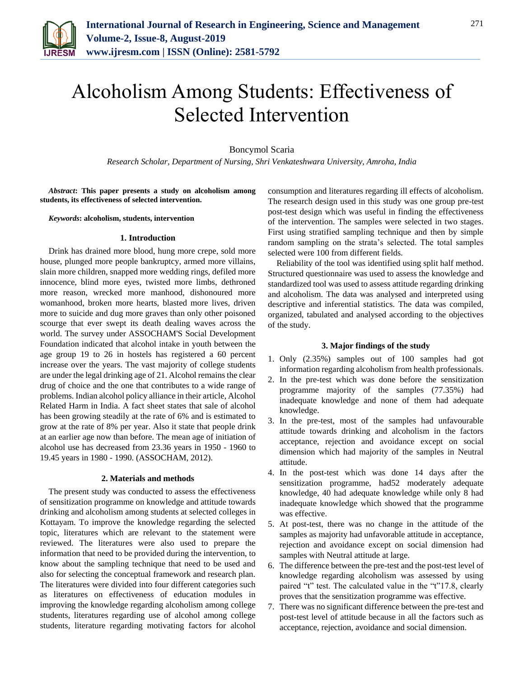

# Alcoholism Among Students: Effectiveness of Selected Intervention

Boncymol Scaria

*Research Scholar, Department of Nursing, Shri Venkateshwara University, Amroha, India*

*Abstract***: This paper presents a study on alcoholism among students, its effectiveness of selected intervention.**

*Keywords***: alcoholism, students, intervention**

### **1. Introduction**

Drink has drained more blood, hung more crepe, sold more house, plunged more people bankruptcy, armed more villains, slain more children, snapped more wedding rings, defiled more innocence, blind more eyes, twisted more limbs, dethroned more reason, wrecked more manhood, dishonoured more womanhood, broken more hearts, blasted more lives, driven more to suicide and dug more graves than only other poisoned scourge that ever swept its death dealing waves across the world. The survey under ASSOCHAM'S Social Development Foundation indicated that alcohol intake in youth between the age group 19 to 26 in hostels has registered a 60 percent increase over the years. The vast majority of college students are under the legal drinking age of 21. Alcohol remains the clear drug of choice and the one that contributes to a wide range of problems. Indian alcohol policy alliance in their article, Alcohol Related Harm in India. A fact sheet states that sale of alcohol has been growing steadily at the rate of 6% and is estimated to grow at the rate of 8% per year. Also it state that people drink at an earlier age now than before. The mean age of initiation of alcohol use has decreased from 23.36 years in 1950 - 1960 to 19.45 years in 1980 - 1990. (ASSOCHAM, 2012).

## **2. Materials and methods**

The present study was conducted to assess the effectiveness of sensitization programme on knowledge and attitude towards drinking and alcoholism among students at selected colleges in Kottayam. To improve the knowledge regarding the selected topic, literatures which are relevant to the statement were reviewed. The literatures were also used to prepare the information that need to be provided during the intervention, to know about the sampling technique that need to be used and also for selecting the conceptual framework and research plan. The literatures were divided into four different categories such as literatures on effectiveness of education modules in improving the knowledge regarding alcoholism among college students, literatures regarding use of alcohol among college students, literature regarding motivating factors for alcohol consumption and literatures regarding ill effects of alcoholism. The research design used in this study was one group pre-test post-test design which was useful in finding the effectiveness of the intervention. The samples were selected in two stages. First using stratified sampling technique and then by simple random sampling on the strata's selected. The total samples selected were 100 from different fields.

Reliability of the tool was identified using split half method. Structured questionnaire was used to assess the knowledge and standardized tool was used to assess attitude regarding drinking and alcoholism. The data was analysed and interpreted using descriptive and inferential statistics. The data was compiled, organized, tabulated and analysed according to the objectives of the study.

### **3. Major findings of the study**

- 1. Only (2.35%) samples out of 100 samples had got information regarding alcoholism from health professionals.
- 2. In the pre-test which was done before the sensitization programme majority of the samples (77.35%) had inadequate knowledge and none of them had adequate knowledge.
- 3. In the pre-test, most of the samples had unfavourable attitude towards drinking and alcoholism in the factors acceptance, rejection and avoidance except on social dimension which had majority of the samples in Neutral attitude.
- 4. In the post-test which was done 14 days after the sensitization programme, had52 moderately adequate knowledge, 40 had adequate knowledge while only 8 had inadequate knowledge which showed that the programme was effective.
- 5. At post-test, there was no change in the attitude of the samples as majority had unfavorable attitude in acceptance, rejection and avoidance except on social dimension had samples with Neutral attitude at large.
- 6. The difference between the pre-test and the post-test level of knowledge regarding alcoholism was assessed by using paired "t" test. The calculated value in the "t"17.8, clearly proves that the sensitization programme was effective.
- 7. There was no significant difference between the pre-test and post-test level of attitude because in all the factors such as acceptance, rejection, avoidance and social dimension.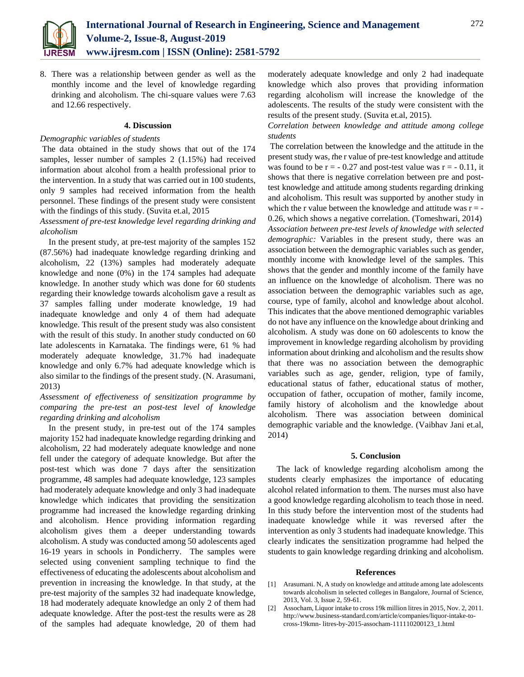

8. There was a relationship between gender as well as the monthly income and the level of knowledge regarding drinking and alcoholism. The chi-square values were 7.63 and 12.66 respectively.

### **4. Discussion**

### *Demographic variables of students*

The data obtained in the study shows that out of the 174 samples, lesser number of samples 2 (1.15%) had received information about alcohol from a health professional prior to the intervention. In a study that was carried out in 100 students, only 9 samples had received information from the health personnel. These findings of the present study were consistent with the findings of this study. (Suvita et.al, 2015

## *Assessment of pre-test knowledge level regarding drinking and alcoholism*

In the present study, at pre-test majority of the samples 152 (87.56%) had inadequate knowledge regarding drinking and alcoholism, 22 (13%) samples had moderately adequate knowledge and none (0%) in the 174 samples had adequate knowledge. In another study which was done for 60 students regarding their knowledge towards alcoholism gave a result as 37 samples falling under moderate knowledge, 19 had inadequate knowledge and only 4 of them had adequate knowledge. This result of the present study was also consistent with the result of this study. In another study conducted on 60 late adolescents in Karnataka. The findings were, 61 % had moderately adequate knowledge, 31.7% had inadequate knowledge and only 6.7% had adequate knowledge which is also similar to the findings of the present study. (N. Arasumani, 2013)

# *Assessment of effectiveness of sensitization programme by comparing the pre-test an post-test level of knowledge regarding drinking and alcoholism*

In the present study, in pre-test out of the 174 samples majority 152 had inadequate knowledge regarding drinking and alcoholism, 22 had moderately adequate knowledge and none fell under the category of adequate knowledge. But after the post-test which was done 7 days after the sensitization programme, 48 samples had adequate knowledge, 123 samples had moderately adequate knowledge and only 3 had inadequate knowledge which indicates that providing the sensitization programme had increased the knowledge regarding drinking and alcoholism. Hence providing information regarding alcoholism gives them a deeper understanding towards alcoholism. A study was conducted among 50 adolescents aged 16-19 years in schools in Pondicherry. The samples were selected using convenient sampling technique to find the effectiveness of educating the adolescents about alcoholism and prevention in increasing the knowledge. In that study, at the pre-test majority of the samples 32 had inadequate knowledge, 18 had moderately adequate knowledge an only 2 of them had adequate knowledge. After the post-test the results were as 28 of the samples had adequate knowledge, 20 of them had

moderately adequate knowledge and only 2 had inadequate knowledge which also proves that providing information regarding alcoholism will increase the knowledge of the adolescents. The results of the study were consistent with the results of the present study. (Suvita et.al, 2015).

*Correlation between knowledge and attitude among college students*

The correlation between the knowledge and the attitude in the present study was*, t*he r value of pre-test knowledge and attitude was found to be  $r = -0.27$  and post-test value was  $r = -0.11$ , it shows that there is negative correlation between pre and posttest knowledge and attitude among students regarding drinking and alcoholism. This result was supported by another study in which the r value between the knowledge and attitude was  $r = -$ 0.26, which shows a negative correlation. (Tomeshwari, 2014) *Association between pre-test levels of knowledge with selected demographic:* Variables in the present study, there was an association between the demographic variables such as gender, monthly income with knowledge level of the samples. This shows that the gender and monthly income of the family have an influence on the knowledge of alcoholism. There was no association between the demographic variables such as age, course, type of family, alcohol and knowledge about alcohol. This indicates that the above mentioned demographic variables do not have any influence on the knowledge about drinking and alcoholism. A study was done on 60 adolescents to know the improvement in knowledge regarding alcoholism by providing information about drinking and alcoholism and the results show that there was no association between the demographic variables such as age, gender, religion, type of family, educational status of father, educational status of mother, occupation of father, occupation of mother, family income, family history of alcoholism and the knowledge about alcoholism. There was association between dominical demographic variable and the knowledge. (Vaibhav Jani et.al, 2014)

#### **5. Conclusion**

The lack of knowledge regarding alcoholism among the students clearly emphasizes the importance of educating alcohol related information to them. The nurses must also have a good knowledge regarding alcoholism to teach those in need. In this study before the intervention most of the students had inadequate knowledge while it was reversed after the intervention as only 3 students had inadequate knowledge. This clearly indicates the sensitization programme had helped the students to gain knowledge regarding drinking and alcoholism.

#### **References**

- [1] Arasumani. N, A study on knowledge and attitude among late adolescents towards alcoholism in selected colleges in Bangalore, Journal of Science, 2013, Vol. 3, Issue 2, 59-61.
- [2] Assocham, Liquor intake to cross 19k million litres in 2015, Nov. 2, 2011. http://www.business-standard.com/article/companies/liquor-intake-tocross-19kmn- litres-by-2015-assocham-111110200123\_1.html